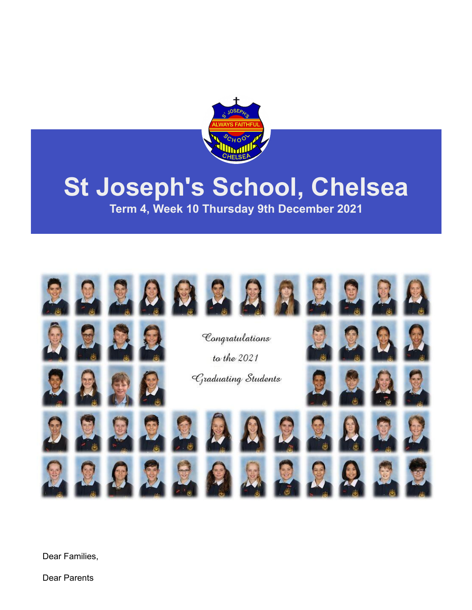

# **St Joseph's School, Chelsea**

**Term 4, Week 10 Thursday 9th December 2021**



Dear Families,

Dear Parents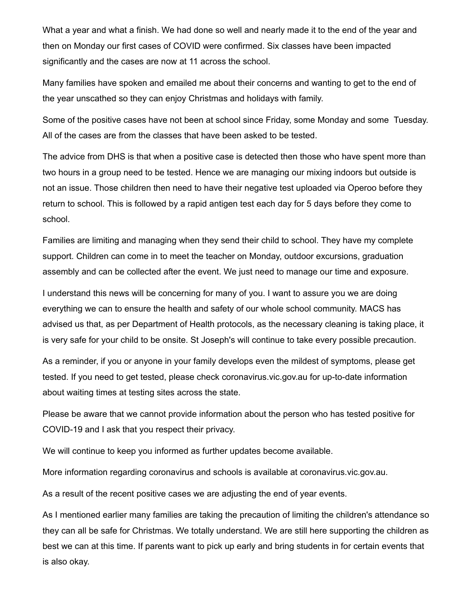What a year and what a finish. We had done so well and nearly made it to the end of the year and then on Monday our first cases of COVID were confirmed. Six classes have been impacted significantly and the cases are now at 11 across the school.

Many families have spoken and emailed me about their concerns and wanting to get to the end of the year unscathed so they can enjoy Christmas and holidays with family.

Some of the positive cases have not been at school since Friday, some Monday and some Tuesday. All of the cases are from the classes that have been asked to be tested.

The advice from DHS is that when a positive case is detected then those who have spent more than two hours in a group need to be tested. Hence we are managing our mixing indoors but outside is not an issue. Those children then need to have their negative test uploaded via Operoo before they return to school. This is followed by a rapid antigen test each day for 5 days before they come to school.

Families are limiting and managing when they send their child to school. They have my complete support. Children can come in to meet the teacher on Monday, outdoor excursions, graduation assembly and can be collected after the event. We just need to manage our time and exposure.

I understand this news will be concerning for many of you. I want to assure you we are doing everything we can to ensure the health and safety of our whole school community. MACS has advised us that, as per Department of Health protocols, as the necessary cleaning is taking place, it is very safe for your child to be onsite. St Joseph's will continue to take every possible precaution.

As a reminder, if you or anyone in your family develops even the mildest of symptoms, please get tested. If you need to get tested, please check coronavirus.vic.gov.au for up-to-date information about waiting times at testing sites across the state.

Please be aware that we cannot provide information about the person who has tested positive for COVID-19 and I ask that you respect their privacy.

We will continue to keep you informed as further updates become available.

More information regarding coronavirus and schools is available at coronavirus.vic.gov.au.

As a result of the recent positive cases we are adjusting the end of year events.

As I mentioned earlier many families are taking the precaution of limiting the children's attendance so they can all be safe for Christmas. We totally understand. We are still here supporting the children as best we can at this time. If parents want to pick up early and bring students in for certain events that is also okay.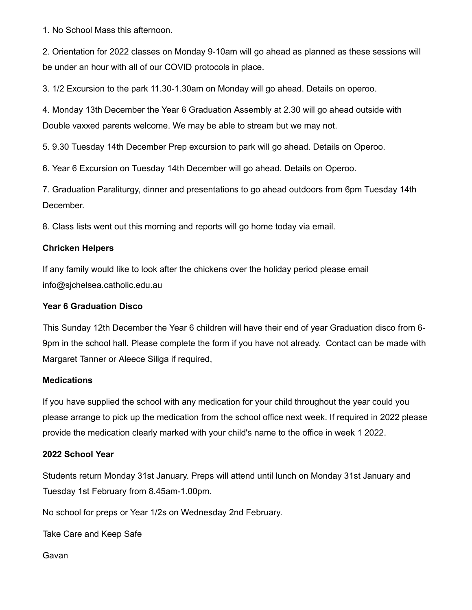1. No School Mass this afternoon.

2. Orientation for 2022 classes on Monday 9-10am will go ahead as planned as these sessions will be under an hour with all of our COVID protocols in place.

3. 1/2 Excursion to the park 11.30-1.30am on Monday will go ahead. Details on operoo.

4. Monday 13th December the Year 6 Graduation Assembly at 2.30 will go ahead outside with Double vaxxed parents welcome. We may be able to stream but we may not.

5. 9.30 Tuesday 14th December Prep excursion to park will go ahead. Details on Operoo.

6. Year 6 Excursion on Tuesday 14th December will go ahead. Details on Operoo.

7. Graduation Paraliturgy, dinner and presentations to go ahead outdoors from 6pm Tuesday 14th December.

8. Class lists went out this morning and reports will go home today via email.

#### **Chricken Helpers**

If any family would like to look after the chickens over the holiday period please email info@sjchelsea.catholic.edu.au

#### **Year 6 Graduation Disco**

This Sunday 12th December the Year 6 children will have their end of year Graduation disco from 6- 9pm in the school hall. Please complete the form if you have not already. Contact can be made with Margaret Tanner or Aleece Siliga if required,

#### **Medications**

If you have supplied the school with any medication for your child throughout the year could you please arrange to pick up the medication from the school office next week. If required in 2022 please provide the medication clearly marked with your child's name to the office in week 1 2022.

#### **2022 School Year**

Students return Monday 31st January. Preps will attend until lunch on Monday 31st January and Tuesday 1st February from 8.45am-1.00pm.

No school for preps or Year 1/2s on Wednesday 2nd February.

Take Care and Keep Safe

Gavan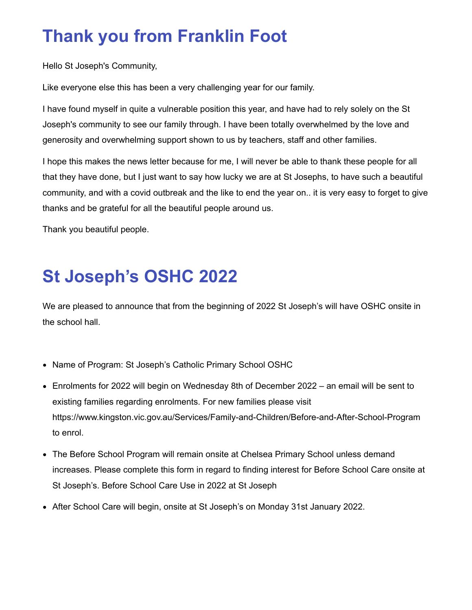### **Thank you from Franklin Foot**

Hello St Joseph's Community,

Like everyone else this has been a very challenging year for our family.

I have found myself in quite a vulnerable position this year, and have had to rely solely on the St Joseph's community to see our family through. I have been totally overwhelmed by the love and generosity and overwhelming support shown to us by teachers, staff and other families.

I hope this makes the news letter because for me, I will never be able to thank these people for all that they have done, but I just want to say how lucky we are at St Josephs, to have such a beautiful community, and with a covid outbreak and the like to end the year on.. it is very easy to forget to give thanks and be grateful for all the beautiful people around us.

Thank you beautiful people.

## **St Joseph's OSHC 2022**

We are pleased to announce that from the beginning of 2022 St Joseph's will have OSHC onsite in the school hall.

- Name of Program: St Joseph's Catholic Primary School OSHC
- Enrolments for 2022 will begin on Wednesday 8th of December 2022 an email will be sent to existing families regarding enrolments. For new families please visit <https://www.kingston.vic.gov.au/Services/Family-and-Children/Before-and-After-School-Program> to enrol.
- The Before School Program will remain onsite at Chelsea Primary School unless demand increases. Please complete this form in regard to finding interest for Before School Care onsite at St Joseph's. [Before School Care Use in 2022 at St Joseph](https://forms.gle/C3SnKUDZnK6oqNWg6)
- After School Care will begin, onsite at St Joseph's on Monday 31st January 2022.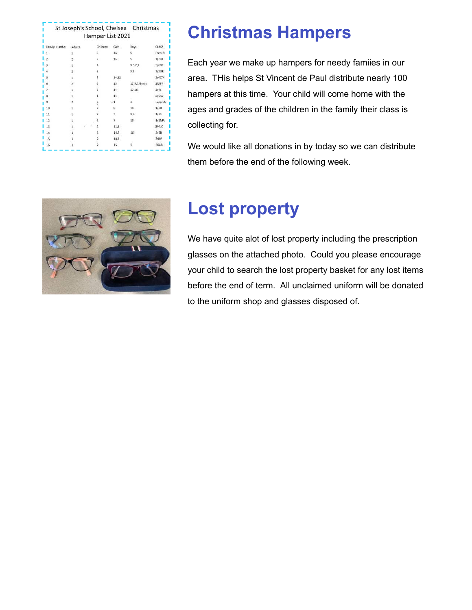|               |                         | Hamper List 2021        |               | St Joseph's School, Chelsea Christmas |         |
|---------------|-------------------------|-------------------------|---------------|---------------------------------------|---------|
| Family Number | <b>Adults</b>           | Children                | Girls         | Boys                                  | CLASS   |
|               | 1                       | 2                       | 14            | 5                                     | PrepLR  |
|               | $2^{\circ}$             | 2                       | $16 -$        | 5                                     | 1/2OF   |
| ä             | 1                       | $\Delta$                |               | 9,5,2,1                               | 5/6BC   |
|               | $\overline{z}$          | $\overline{2}$          |               | 9,2                                   | 1/2DR   |
| 5             | 1                       | $\overline{2}$          | 14,12         |                                       | 3/4CM   |
| 6             | $\overline{\mathbf{z}}$ | 5                       | 15            | 17,9,7,8mths                          | STAFF   |
|               | $1\,$                   | 3                       | 14            | 17,16                                 | 3/4s    |
| 8             | 1                       | 1                       | 14            |                                       | 5/6KG   |
|               | $\mathbf{z}$            | $\overline{2}$<br>Ţ.    | $\frac{1}{2}$ | 3                                     | Prep CG |
| 10            | $\mathbf{1}$            | $\overline{2}$          | 8             | 14 <sub>1</sub>                       | 1/2B    |
| 11            | $\mathbf{1}$            | З                       | 5             | 8.3                                   | 1/25    |
| 12            |                         | $\overline{2}$          | 7             | 13                                    | 1/2MA   |
| 13            | 1                       | $\overline{\mathbf{z}}$ | 11,8          |                                       | 3/41C   |
| 14            | 1                       | ä                       | 14,3          | 16                                    | 5/6B    |
| 15            | 1                       | 2                       | 10,8          |                                       | 34W     |
| 16            | $\mathbf{1}$            | 2                       | 15            | 9                                     | 56AB    |

### **Christmas Hampers**

Each year we make up hampers for needy famiies in our area. THis helps St Vincent de Paul distribute nearly 100 hampers at this time. Your child will come home with the ages and grades of the children in the family their class is collecting for.

We would like all donations in by today so we can distribute them before the end of the following week.



### **Lost property**

We have quite alot of lost property including the prescription glasses on the attached photo. Could you please encourage your child to search the lost property basket for any lost items before the end of term. All unclaimed uniform will be donated to the uniform shop and glasses disposed of.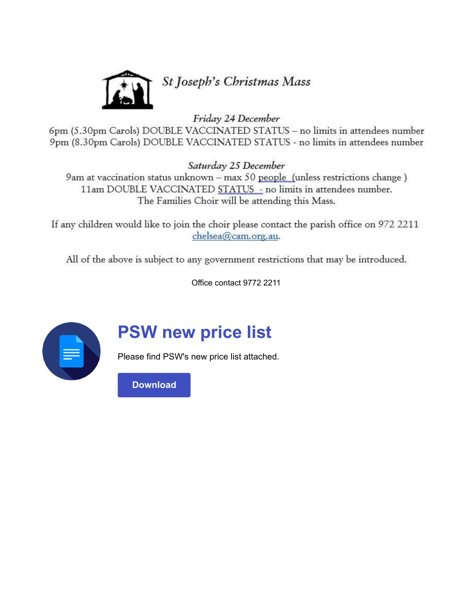

Friday 24 December

6pm (5.30pm Carols) DOUBLE VACCINATED STATUS - no limits in attendees number 9pm (8.30pm Carols) DOUBLE VACCINATED STATUS - no limits in attendees number

Saturday 25 December

9am at vaccination status unknown - max 50 people (unless restrictions change) 11am DOUBLE VACCINATED STATUS - no limits in attendees number. The Families Choir will be attending this Mass.

If any children would like to join the choir please contact the parish office on 972 2211 chelsea@cam.org.au.

All of the above is subject to any government restrictions that may be introduced.

Office contact 9772 2211



### **PSW new price list**

Please find PSW's new price list attached.

**[Download](https://enewsletter.coralcommunities.com/download?file=/file_module/23506/file_download_23506_4481462279.pdf)**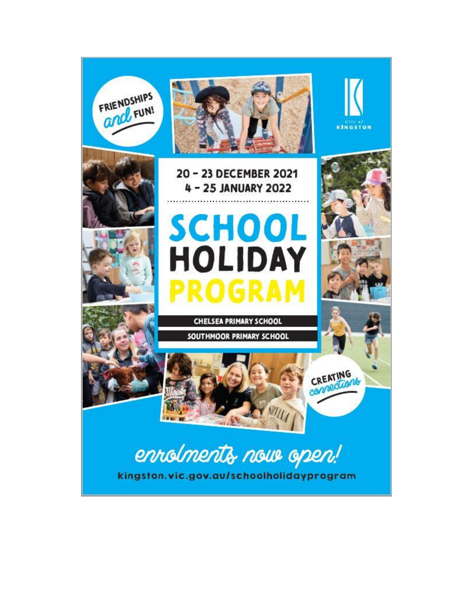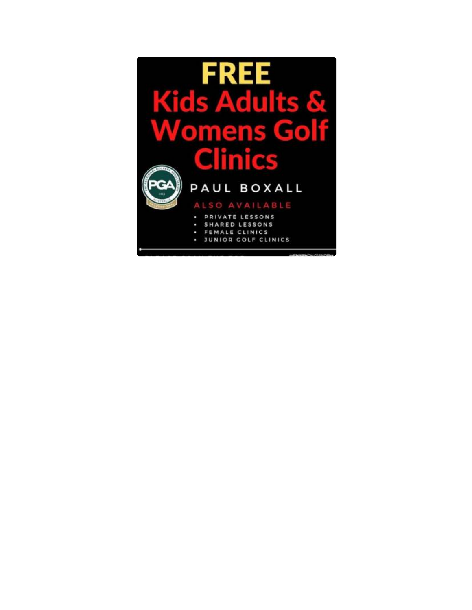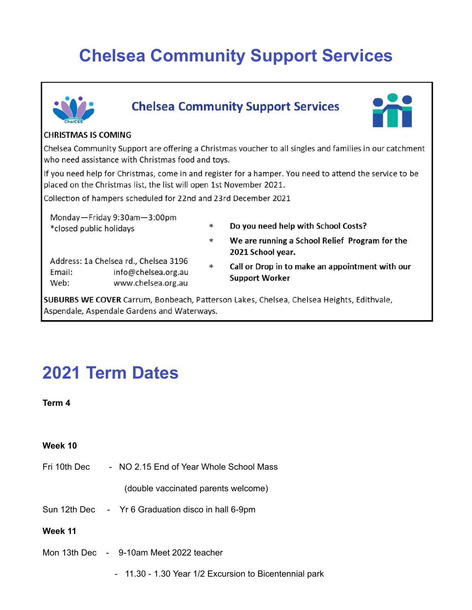### **Chelsea Community Support Services**



#### **Chelsea Community Support Services**



#### **CHRISTMAS IS COMING**

Chelsea Community Support are offering a Christmas voucher to all singles and families in our catchment who need assistance with Christmas food and toys.

If you need help for Christmas, come in and register for a hamper. You need to attend the service to be placed on the Christmas list, the list will open 1st November 2021.

Collection of hampers scheduled for 22nd and 23rd December 2021

Monday-Friday 9:30am-3:00pm \*closed public holidays

Do you need help with School Costs?  $\ast$ 

2021 School year.

- Address: 1a Chelsea rd., Chelsea 3196 Email: info@chelsea.org.au Web: www.chelsea.org.au
- $\ast$ Call or Drop in to make an appointment with our **Support Worker**

We are running a School Relief Program for the

SUBURBS WE COVER Carrum, Bonbeach, Patterson Lakes, Chelsea, Chelsea Heights, Edithvale, Aspendale, Aspendale Gardens and Waterways.

 $*$ 

### **2021 Term Dates**

**Term 4**

#### **Week 10**

Fri 10th Dec - NO 2.15 End of Year Whole School Mass

(double vaccinated parents welcome)

- Sun 12th Dec Yr 6 Graduation disco in hall 6-9pm
- **Week 11**
- Mon 13th Dec 9-10am Meet 2022 teacher
	- 11.30 1.30 Year 1/2 Excursion to Bicentennial park